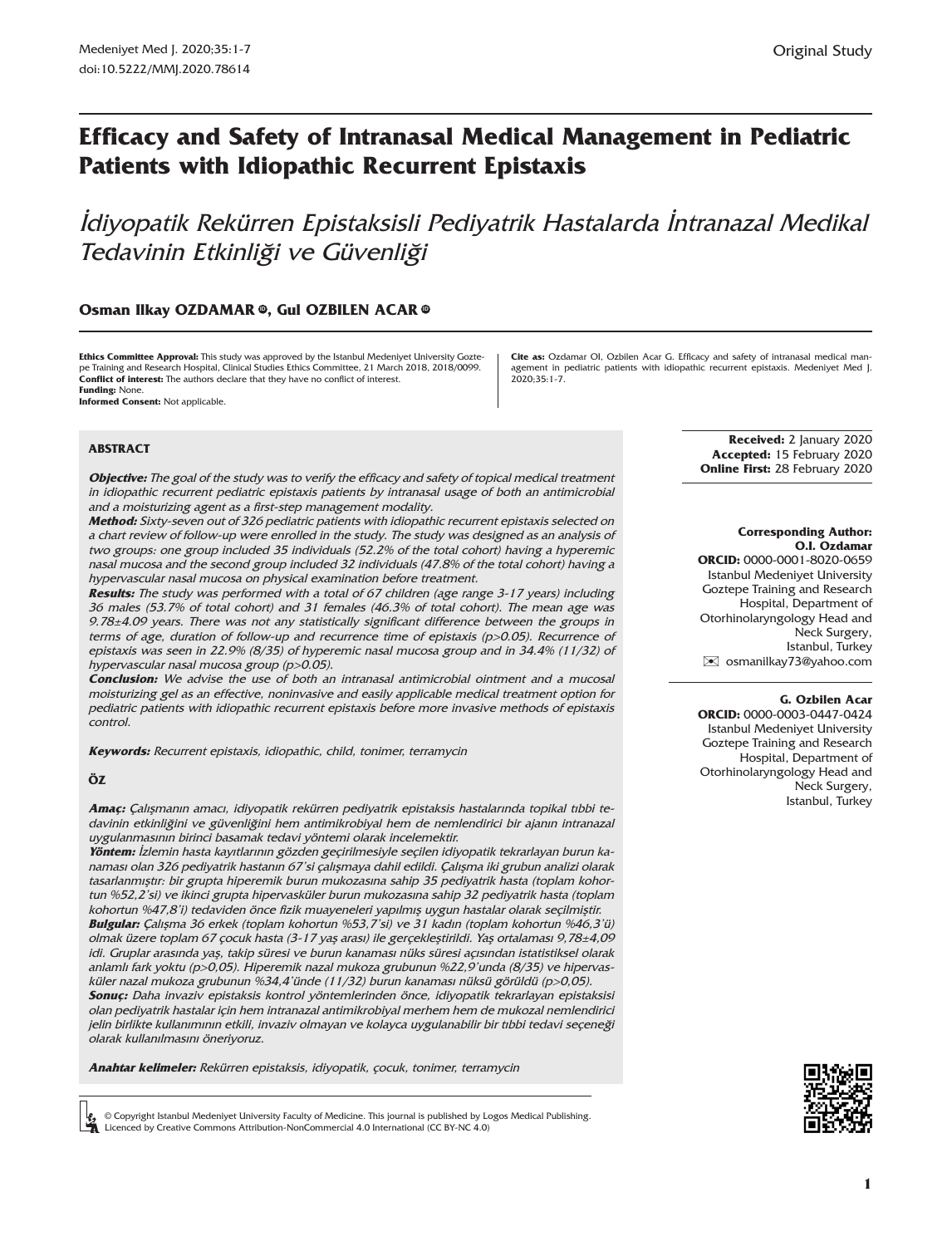# **Efficacy and Safety of Intranasal Medical Management in Pediatric Patients with Idiopathic Recurrent Epistaxis**

İdiyopatik Rekürren Epistaksisli Pediyatrik Hastalarda İntranazal Medikal Tedavinin Etkinliği ve Güvenliği

### **Osman Ilkay OZDAMAR**  $\Phi$ , Gul OZBILEN ACA[R](https://orcid.org/0000-0003-0447-0424)  $\Phi$

**Ethics Committee Approval:** This study was approved by the Istanbul Medeniyet University Goztepe Training and Research Hospital, Clinical Studies Ethics Committee, 21 March 2018, 2018/0099. **Conflict of interest:** The authors declare that they have no conflict of interest. **Funding:** None.

**Cite as:** Ozdamar OI, Ozbilen Acar G. Efficacy and safety of intranasal medical management in pediatric patients with idiopathic recurrent epistaxis. Medeniyet Med J. 2020;35:1-7.

**Informed Consent:** Not applicable.

### **ABSTRACT**

**Objective:** The goal of the study was to verify the efficacy and safety of topical medical treatment in idiopathic recurrent pediatric epistaxis patients by intranasal usage of both an antimicrobial and a moisturizing agent as a first-step management modality.

**Method:** Sixty-seven out of 326 pediatric patients with idiopathic recurrent epistaxis selected on a chart review of follow-up were enrolled in the study. The study was designed as an analysis of two groups: one group included 35 individuals (52.2% of the total cohort) having a hyperemic nasal mucosa and the second group included 32 individuals (47.8% of the total cohort) having a hypervascular nasal mucosa on physical examination before treatment.

**Results:** The study was performed with a total of 67 children (age range 3-17 years) including 36 males (53.7% of total cohort) and 31 females (46.3% of total cohort). The mean age was 9.78±4.09 years. There was not any statistically significant difference between the groups in terms of age, duration of follow-up and recurrence time of epistaxis (p>0.05). Recurrence of epistaxis was seen in 22.9% (8/35) of hyperemic nasal mucosa group and in 34.4% (11/32) of hypervascular nasal mucosa group (p>0.05).

**Conclusion:** We advise the use of both an intranasal antimicrobial ointment and a mucosal moisturizing gel as an effective, noninvasive and easily applicable medical treatment option for pediatric patients with idiopathic recurrent epistaxis before more invasive methods of epistaxis control.

**Keywords:** Recurrent epistaxis, idiopathic, child, tonimer, terramycin

#### **ÖZ**

**Amaç:** Çalışmanın amacı, idiyopatik rekürren pediyatrik epistaksis hastalarında topikal tıbbi tedavinin etkinliğini ve güvenliğini hem antimikrobiyal hem de nemlendirici bir ajanın intranazal uygulanmasının birinci basamak tedavi yöntemi olarak incelemektir.

**Yöntem:** İzlemin hasta kayıtlarının gözden geçirilmesiyle seçilen idiyopatik tekrarlayan burun kanaması olan 326 pediyatrik hastanın 67'si çalışmaya dahil edildi. Çalışma iki grubun analizi olarak tasarlanmıştır: bir grupta hiperemik burun mukozasına sahip 35 pediyatrik hasta (toplam kohortun %52,2'si) ve ikinci grupta hipervasküler burun mukozasına sahip 32 pediyatrik hasta (toplam kohortun %47,8'i) tedaviden önce fizik muayeneleri yapılmış uygun hastalar olarak seçilmiştir. **Bulgular:** Çalışma 36 erkek (toplam kohortun %53,7'si) ve 31 kadın (toplam kohortun %46,3'ü) olmak üzere toplam 67 çocuk hasta (3-17 yaş arası) ile gerçekleştirildi. Yaş ortalaması 9,78±4,09 idi. Gruplar arasında yaş, takip süresi ve burun kanaması nüks süresi açısından istatistiksel olarak anlamlı fark yoktu (p>0,05). Hiperemik nazal mukoza grubunun %22,9'unda (8/35) ve hipervasküler nazal mukoza grubunun %34,4'ünde (11/32) burun kanaması nüksü görüldü (p>0,05).

**Sonuç:** Daha invaziv epistaksis kontrol yöntemlerinden önce, idiyopatik tekrarlayan epistaksisi olan pediyatrik hastalar için hem intranazal antimikrobiyal merhem hem de mukozal nemlendirici jelin birlikte kullanımının etkili, invaziv olmayan ve kolayca uygulanabilir bir tıbbi tedavi seçeneği olarak kullanılmasını öneriyoruz.

**Anahtar kelimeler:** Rekürren epistaksis, idiyopatik, çocuk, tonimer, terramycin

© Copyright Istanbul Medeniyet University Faculty of Medicine. This journal is published by Logos Medical Publishing. Licenced by Creative Commons Attribution-NonCommercial 4.0 International (CC BY-NC 4.0)

 **Corresponding Author:** 

**Received:** 2 January 2020 **Accepted:** 15 February 2020 **Online First:** 28 February 2020

#### **O.I. Ozdamar ORCID:** 0000-0001-8020-0659

Istanbul Medeniyet University Goztepe Training and Research Hospital, Department of Otorhinolaryngology Head and Neck Surgery, Istanbul, Turkey [✉](mailto:osmanilkay73@yahoo.com) osmanilkay73@yahoo.com

#### **G. Ozbilen Acar**

**ORCID:** 0000-0003-0447-0424 Istanbul Medeniyet University Goztepe Training and Research Hospital, Department of Otorhinolaryngology Head and Neck Surgery, Istanbul, Turkey

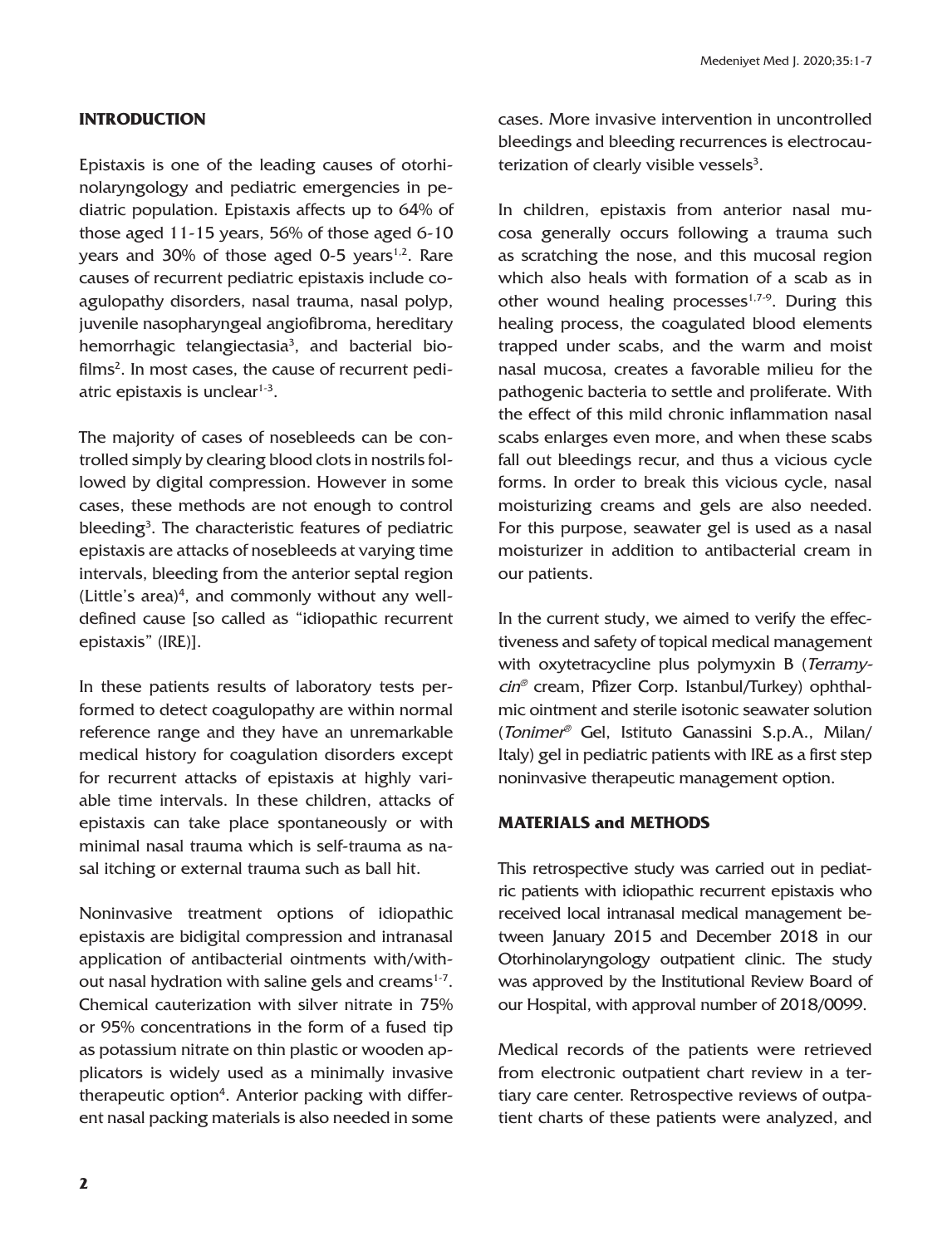# **INTRODUCTION**

Epistaxis is one of the leading causes of otorhinolaryngology and pediatric emergencies in pediatric population. Epistaxis affects up to 64% of those aged 11-15 years, 56% of those aged 6-10 years and 30% of those aged 0-5 years $1.2$ . Rare causes of recurrent pediatric epistaxis include coagulopathy disorders, nasal trauma, nasal polyp, juvenile nasopharyngeal angiofibroma, hereditary hemorrhagic telangiectasia<sup>3</sup>, and bacterial bio $films<sup>2</sup>. In most cases, the cause of recurrent pedi$ atric epistaxis is unclear $1-3$ .

The majority of cases of nosebleeds can be controlled simply by clearing blood clots in nostrils followed by digital compression. However in some cases, these methods are not enough to control bleeding<sup>3</sup>. The characteristic features of pediatric epistaxis are attacks of nosebleeds at varying time intervals, bleeding from the anterior septal region (Little's area) $4$ , and commonly without any welldefined cause [so called as "idiopathic recurrent epistaxis" (IRE)].

In these patients results of laboratory tests performed to detect coagulopathy are within normal reference range and they have an unremarkable medical history for coagulation disorders except for recurrent attacks of epistaxis at highly variable time intervals. In these children, attacks of epistaxis can take place spontaneously or with minimal nasal trauma which is self-trauma as nasal itching or external trauma such as ball hit.

Noninvasive treatment options of idiopathic epistaxis are bidigital compression and intranasal application of antibacterial ointments with/without nasal hydration with saline gels and creams $1-7$ . Chemical cauterization with silver nitrate in 75% or 95% concentrations in the form of a fused tip as potassium nitrate on thin plastic or wooden applicators is widely used as a minimally invasive therapeutic option<sup>4</sup>. Anterior packing with different nasal packing materials is also needed in some cases. More invasive intervention in uncontrolled bleedings and bleeding recurrences is electrocauterization of clearly visible vessels<sup>3</sup>.

In children, epistaxis from anterior nasal mucosa generally occurs following a trauma such as scratching the nose, and this mucosal region which also heals with formation of a scab as in other wound healing processes $1,7-9$ . During this healing process, the coagulated blood elements trapped under scabs, and the warm and moist nasal mucosa, creates a favorable milieu for the pathogenic bacteria to settle and proliferate. With the effect of this mild chronic inflammation nasal scabs enlarges even more, and when these scabs fall out bleedings recur, and thus a vicious cycle forms. In order to break this vicious cycle, nasal moisturizing creams and gels are also needed. For this purpose, seawater gel is used as a nasal moisturizer in addition to antibacterial cream in our patients.

In the current study, we aimed to verify the effectiveness and safety of topical medical management with oxytetracycline plus polymyxin B (Terramycin® cream, Pfizer Corp. Istanbul/Turkey) ophthalmic ointment and sterile isotonic seawater solution (Tonimer® Gel, Istituto Ganassini S.p.A., Milan/ Italy) gel in pediatric patients with IRE as a first step noninvasive therapeutic management option.

### **MATERIALS and METHODS**

This retrospective study was carried out in pediatric patients with idiopathic recurrent epistaxis who received local intranasal medical management between January 2015 and December 2018 in our Otorhinolaryngology outpatient clinic. The study was approved by the Institutional Review Board of our Hospital, with approval number of 2018/0099.

Medical records of the patients were retrieved from electronic outpatient chart review in a tertiary care center. Retrospective reviews of outpatient charts of these patients were analyzed, and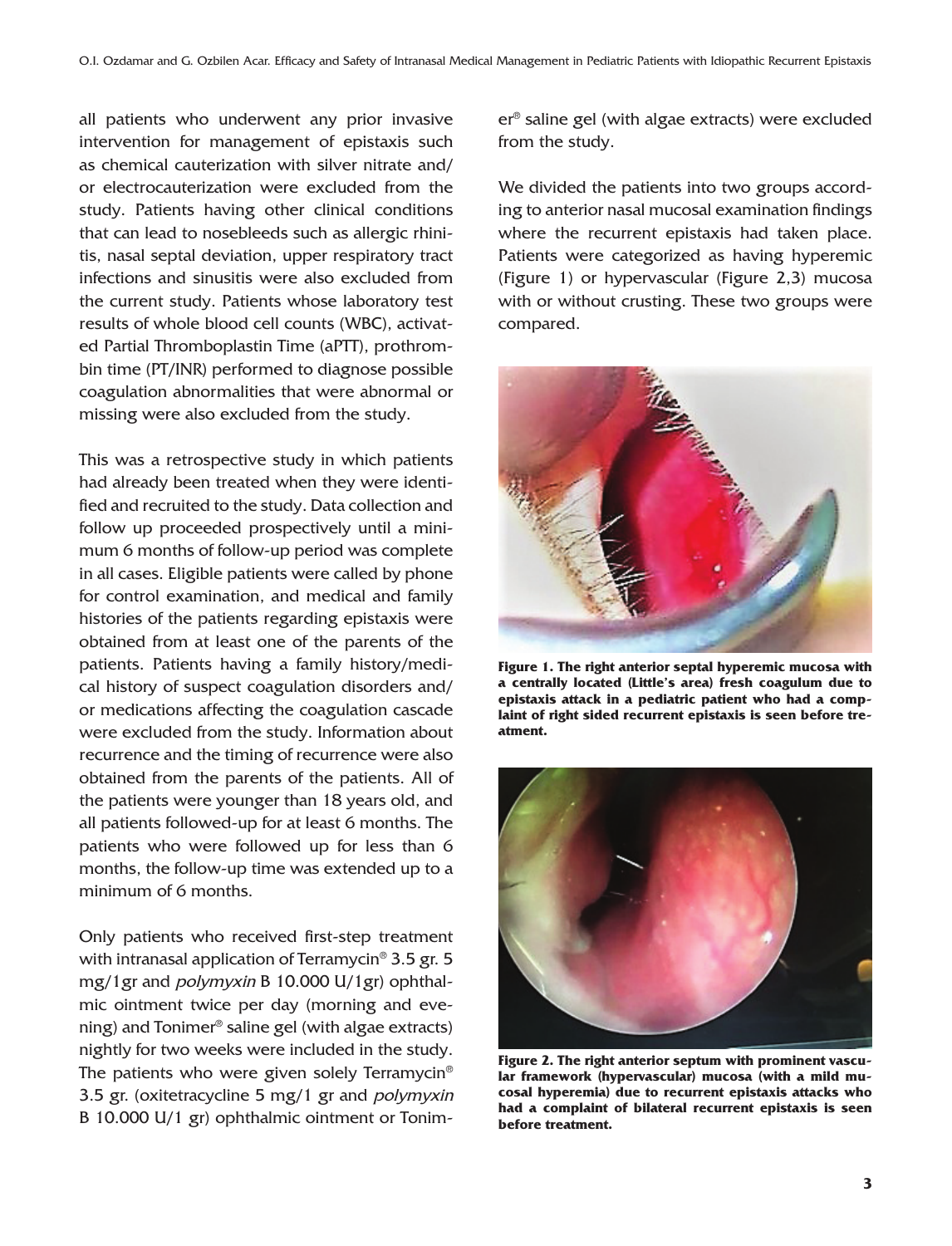all patients who underwent any prior invasive intervention for management of epistaxis such as chemical cauterization with silver nitrate and/ or electrocauterization were excluded from the study. Patients having other clinical conditions that can lead to nosebleeds such as allergic rhinitis, nasal septal deviation, upper respiratory tract infections and sinusitis were also excluded from the current study. Patients whose laboratory test results of whole blood cell counts (WBC), activated Partial Thromboplastin Time (aPTT), prothrombin time (PT/INR) performed to diagnose possible coagulation abnormalities that were abnormal or missing were also excluded from the study.

This was a retrospective study in which patients had already been treated when they were identified and recruited to the study. Data collection and follow up proceeded prospectively until a minimum 6 months of follow-up period was complete in all cases. Eligible patients were called by phone for control examination, and medical and family histories of the patients regarding epistaxis were obtained from at least one of the parents of the patients. Patients having a family history/medical history of suspect coagulation disorders and/ or medications affecting the coagulation cascade were excluded from the study. Information about recurrence and the timing of recurrence were also obtained from the parents of the patients. All of the patients were younger than 18 years old, and all patients followed-up for at least 6 months. The patients who were followed up for less than 6 months, the follow-up time was extended up to a minimum of 6 months.

Only patients who received first-step treatment with intranasal application of Terramycin® 3.5 gr. 5 mg/1gr and polymyxin B 10.000 U/1gr) ophthalmic ointment twice per day (morning and evening) and Tonimer® saline gel (with algae extracts) nightly for two weeks were included in the study. The patients who were given solely Terramycin® 3.5 gr. (oxitetracycline 5 mg/1 gr and *polymyxin* B 10.000 U/1 gr) ophthalmic ointment or Tonimer® saline gel (with algae extracts) were excluded from the study.

We divided the patients into two groups according to anterior nasal mucosal examination findings where the recurrent epistaxis had taken place. Patients were categorized as having hyperemic (Figure 1) or hypervascular (Figure 2,3) mucosa with or without crusting. These two groups were compared.



**Figure 1. The right anterior septal hyperemic mucosa with a centrally located (Little's area) fresh coagulum due to epistaxis attack in a pediatric patient who had a complaint of right sided recurrent epistaxis is seen before treatment.**



**Figure 2. The right anterior septum with prominent vascular framework (hypervascular) mucosa (with a mild mucosal hyperemia) due to recurrent epistaxis attacks who had a complaint of bilateral recurrent epistaxis is seen before treatment.**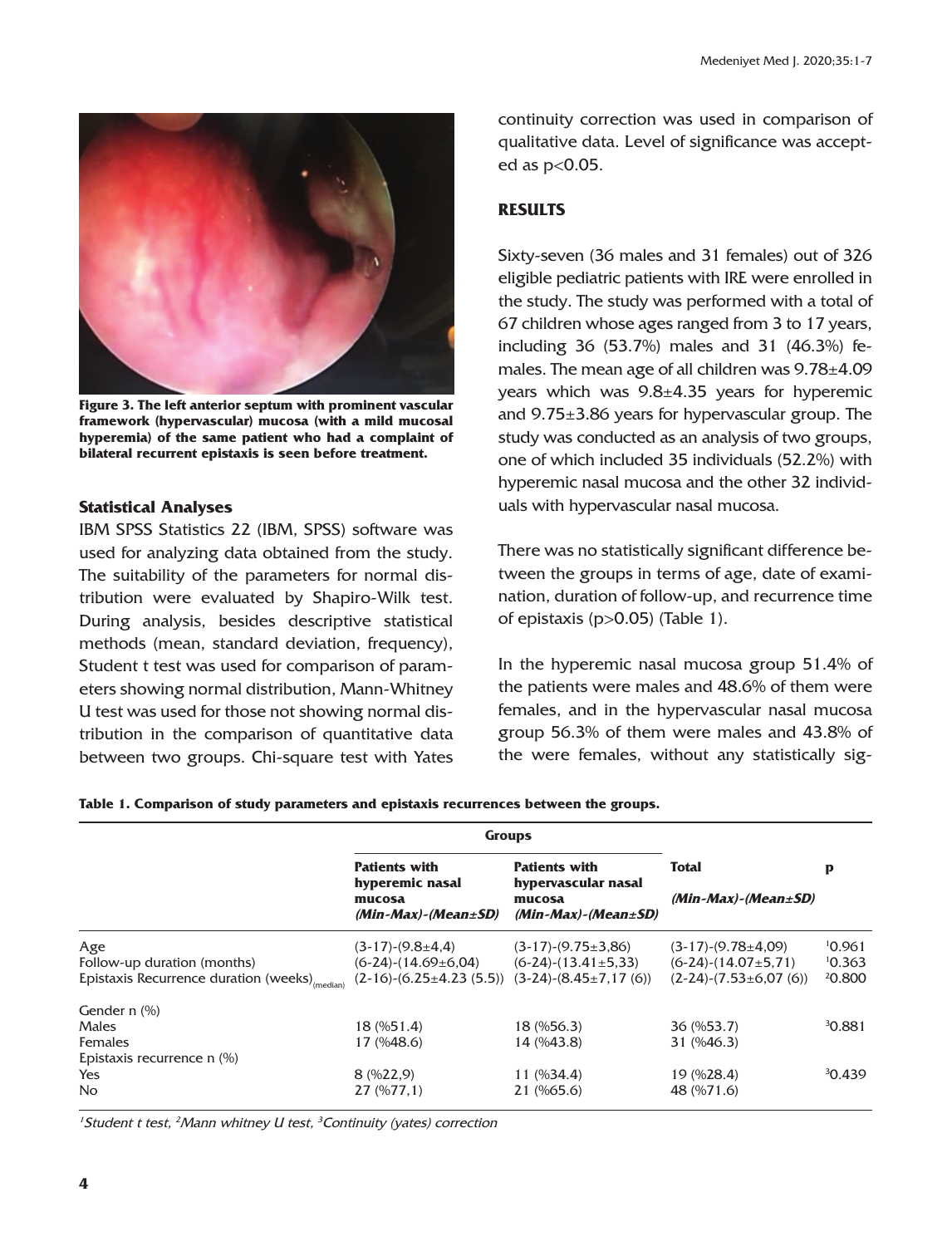

**Figure 3. The left anterior septum with prominent vascular framework (hypervascular) mucosa (with a mild mucosal hyperemia) of the same patient who had a complaint of bilateral recurrent epistaxis is seen before treatment.**

### **Statistical Analyses**

IBM SPSS Statistics 22 (IBM, SPSS) software was used for analyzing data obtained from the study. The suitability of the parameters for normal distribution were evaluated by Shapiro-Wilk test. During analysis, besides descriptive statistical methods (mean, standard deviation, frequency), Student t test was used for comparison of parameters showing normal distribution, Mann-Whitney U test was used for those not showing normal distribution in the comparison of quantitative data between two groups. Chi-square test with Yates continuity correction was used in comparison of qualitative data. Level of significance was accepted as p<0.05.

# **RESULTS**

Sixty-seven (36 males and 31 females) out of 326 eligible pediatric patients with IRE were enrolled in the study. The study was performed with a total of 67 children whose ages ranged from 3 to 17 years, including 36 (53.7%) males and 31 (46.3%) females. The mean age of all children was 9.78±4.09 years which was 9.8±4.35 years for hyperemic and 9.75±3.86 years for hypervascular group. The study was conducted as an analysis of two groups, one of which included 35 individuals (52.2%) with hyperemic nasal mucosa and the other 32 individuals with hypervascular nasal mucosa.

There was no statistically significant difference between the groups in terms of age, date of examination, duration of follow-up, and recurrence time of epistaxis (p>0.05) (Table 1).

In the hyperemic nasal mucosa group 51.4% of the patients were males and 48.6% of them were females, and in the hypervascular nasal mucosa group 56.3% of them were males and 43.8% of the were females, without any statistically sig-

**Table 1. Comparison of study parameters and epistaxis recurrences between the groups.**

|                                                                                                 | <b>Groups</b>                                                                                            |                                                                                        |                                                                                |                            |
|-------------------------------------------------------------------------------------------------|----------------------------------------------------------------------------------------------------------|----------------------------------------------------------------------------------------|--------------------------------------------------------------------------------|----------------------------|
|                                                                                                 | <b>Patients with</b><br>hyperemic nasal<br>mucosa<br>$(Min-Max)$ - $(Mean \pm SD)$                       | <b>Patients with</b><br>hypervascular nasal<br>mucosa<br>$(Min-Max)$ - $(Mean \pm SD)$ | <b>Total</b><br>$(Min-Max)$ - $(Mean \pm SD)$                                  | p                          |
| Age<br>Follow-up duration (months)<br>Epistaxis Recurrence duration (weeks) <sub>(median)</sub> | $(3-17)-(9.8\pm4.4)$<br>$(6-24)-(14.69\pm6.04)$<br>$(2-16)-(6.25\pm4.23(5.5))$ $(3-24)-(8.45\pm7.17(6))$ | $(3-17)-(9.75\pm3.86)$<br>$(6-24)-(13.41\pm5.33)$                                      | $(3-17)-(9.78\pm4.09)$<br>$(6-24)-(14.07\pm5.71)$<br>$(2-24)-(7.53\pm6.07(6))$ | 10.961<br>10.363<br>20.800 |
| Gender n (%)<br><b>Males</b><br><b>Females</b><br>Epistaxis recurrence n (%)                    | 18 (%51.4)<br>17 (%48.6)                                                                                 | 18 (%56.3)<br>14 (%43.8)                                                               | 36 (%53.7)<br>31 (%46.3)                                                       | 30.881                     |
| Yes<br><b>No</b>                                                                                | 8(9622,9)<br>27(9677,1)                                                                                  | $11 \ (%34.4)$<br>21 (%65.6)                                                           | 19 (%28.4)<br>48 (%71.6)                                                       | 30.439                     |

<sup>1</sup> Student t test, <sup>2</sup> Mann whitney U test, <sup>3</sup> Continuity (yates) correction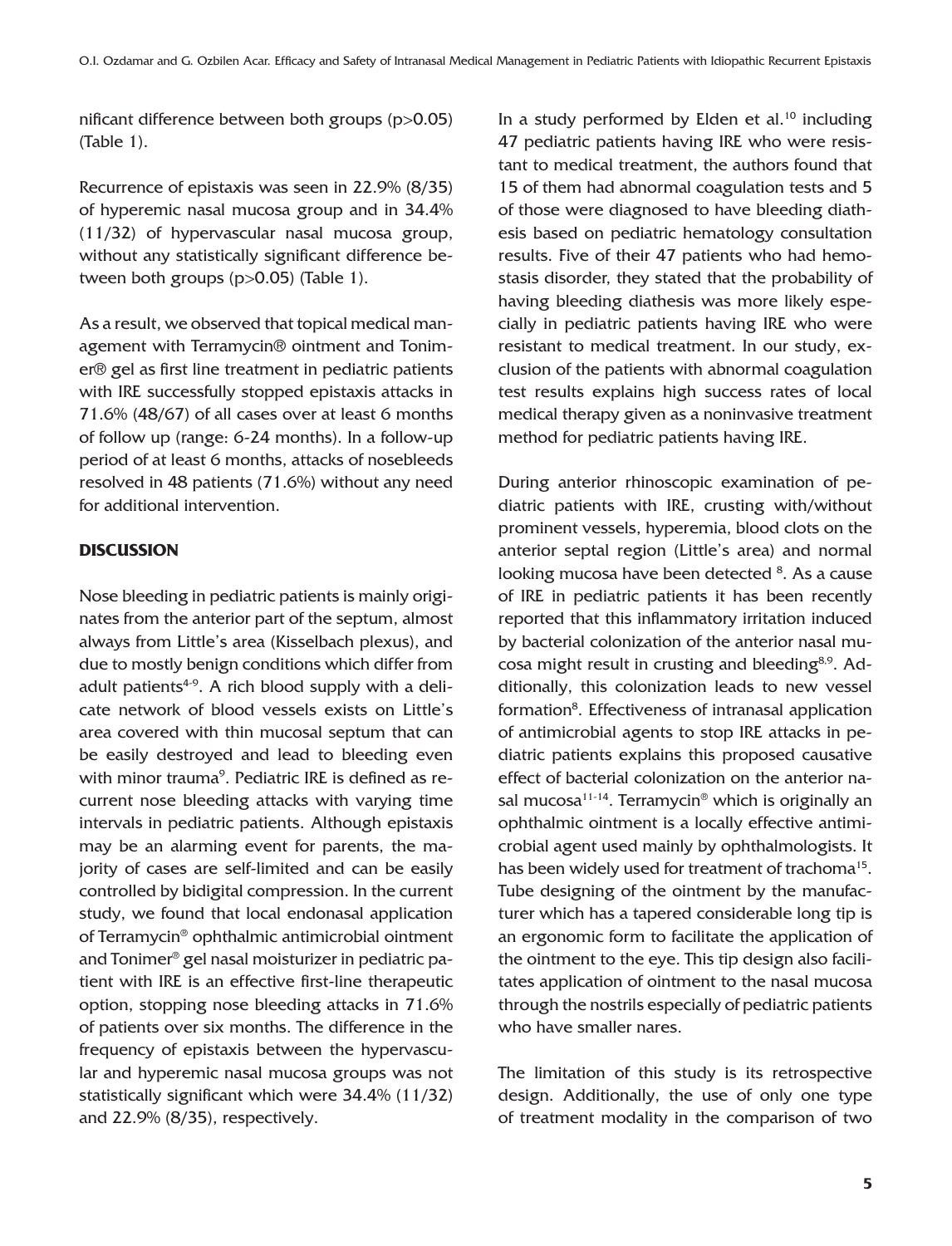nificant difference between both groups (p>0.05) (Table 1).

Recurrence of epistaxis was seen in 22.9% (8/35) of hyperemic nasal mucosa group and in 34.4% (11/32) of hypervascular nasal mucosa group, without any statistically significant difference between both groups (p>0.05) (Table 1).

As a result, we observed that topical medical management with Terramycin® ointment and Tonimer® gel as first line treatment in pediatric patients with IRE successfully stopped epistaxis attacks in 71.6% (48/67) of all cases over at least 6 months of follow up (range: 6-24 months). In a follow-up period of at least 6 months, attacks of nosebleeds resolved in 48 patients (71.6%) without any need for additional intervention.

## **DISCUSSION**

Nose bleeding in pediatric patients is mainly originates from the anterior part of the septum, almost always from Little's area (Kisselbach plexus), and due to mostly benign conditions which differ from adult patients<sup> $4-9$ </sup>. A rich blood supply with a delicate network of blood vessels exists on Little's area covered with thin mucosal septum that can be easily destroyed and lead to bleeding even with minor trauma<sup>9</sup>. Pediatric IRE is defined as recurrent nose bleeding attacks with varying time intervals in pediatric patients. Although epistaxis may be an alarming event for parents, the majority of cases are self-limited and can be easily controlled by bidigital compression. In the current study, we found that local endonasal application of Terramycin® ophthalmic antimicrobial ointment and Tonimer® gel nasal moisturizer in pediatric patient with IRE is an effective first-line therapeutic option, stopping nose bleeding attacks in 71.6% of patients over six months. The difference in the frequency of epistaxis between the hypervascular and hyperemic nasal mucosa groups was not statistically significant which were 34.4% (11/32) and 22.9% (8/35), respectively.

In a study performed by Elden et al. $10$  including 47 pediatric patients having IRE who were resistant to medical treatment, the authors found that 15 of them had abnormal coagulation tests and 5 of those were diagnosed to have bleeding diathesis based on pediatric hematology consultation results. Five of their 47 patients who had hemostasis disorder, they stated that the probability of having bleeding diathesis was more likely especially in pediatric patients having IRE who were resistant to medical treatment. In our study, exclusion of the patients with abnormal coagulation test results explains high success rates of local medical therapy given as a noninvasive treatment method for pediatric patients having IRE.

During anterior rhinoscopic examination of pediatric patients with IRE, crusting with/without prominent vessels, hyperemia, blood clots on the anterior septal region (Little's area) and normal looking mucosa have been detected <sup>8</sup>. As a cause of IRE in pediatric patients it has been recently reported that this inflammatory irritation induced by bacterial colonization of the anterior nasal mucosa might result in crusting and bleeding<sup>8,9</sup>. Additionally, this colonization leads to new vessel formation<sup>8</sup>. Effectiveness of intranasal application of antimicrobial agents to stop IRE attacks in pediatric patients explains this proposed causative effect of bacterial colonization on the anterior nasal mucosa $11-14$ . Terramycin® which is originally an ophthalmic ointment is a locally effective antimicrobial agent used mainly by ophthalmologists. It has been widely used for treatment of trachoma<sup>15</sup>. Tube designing of the ointment by the manufacturer which has a tapered considerable long tip is an ergonomic form to facilitate the application of the ointment to the eye. This tip design also facilitates application of ointment to the nasal mucosa through the nostrils especially of pediatric patients who have smaller nares.

The limitation of this study is its retrospective design. Additionally, the use of only one type of treatment modality in the comparison of two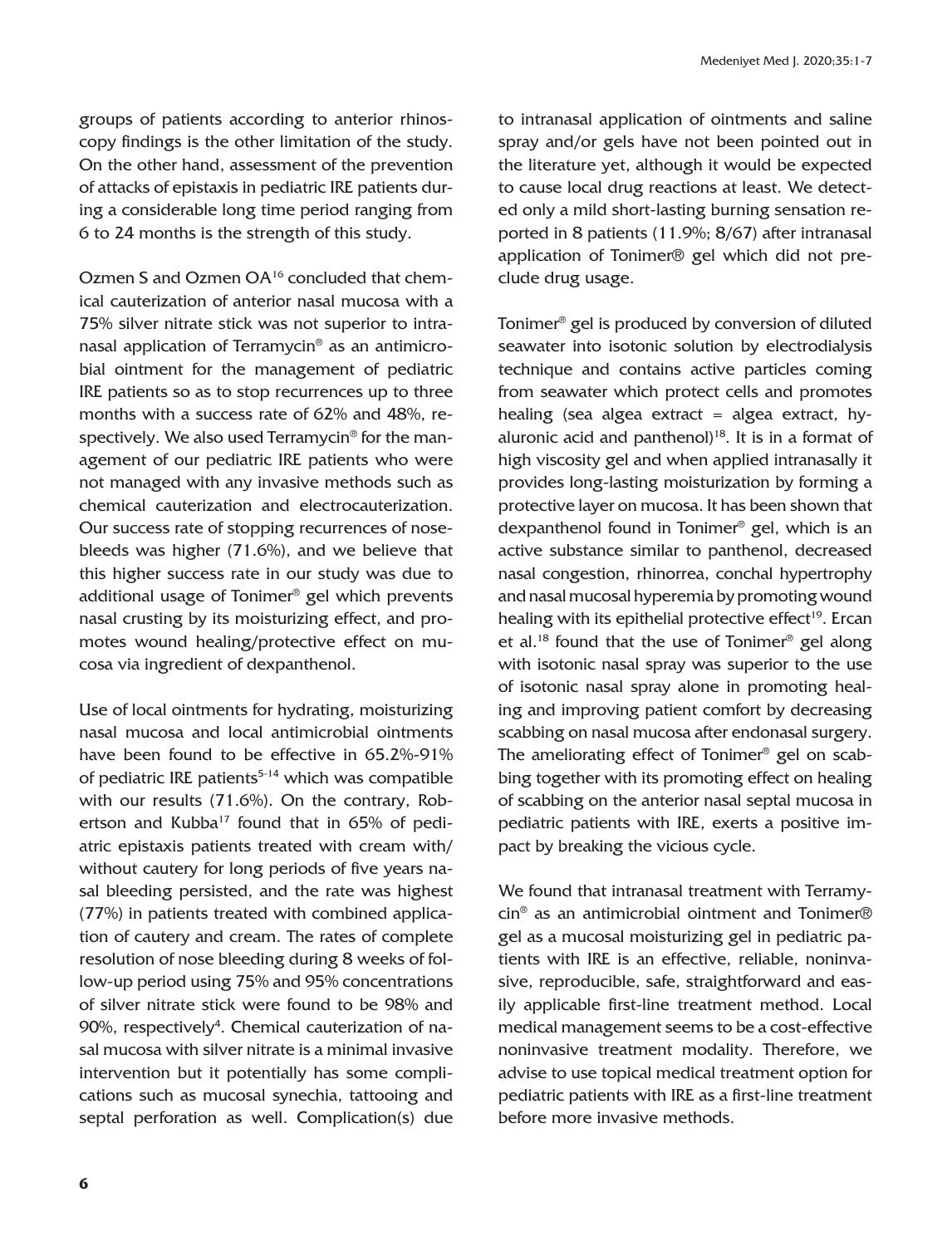groups of patients according to anterior rhinoscopy findings is the other limitation of the study. On the other hand, assessment of the prevention of attacks of epistaxis in pediatric IRE patients during a considerable long time period ranging from 6 to 24 months is the strength of this study.

Ozmen S and Ozmen OA16 concluded that chemical cauterization of anterior nasal mucosa with a 75% silver nitrate stick was not superior to intranasal application of Terramycin® as an antimicrobial ointment for the management of pediatric IRE patients so as to stop recurrences up to three months with a success rate of 62% and 48%, respectively. We also used Terramycin® for the management of our pediatric IRE patients who were not managed with any invasive methods such as chemical cauterization and electrocauterization. Our success rate of stopping recurrences of nosebleeds was higher (71.6%), and we believe that this higher success rate in our study was due to additional usage of Tonimer® gel which prevents nasal crusting by its moisturizing effect, and promotes wound healing/protective effect on mucosa via ingredient of dexpanthenol.

Use of local ointments for hydrating, moisturizing nasal mucosa and local antimicrobial ointments have been found to be effective in 65.2%-91% of pediatric IRE patients<sup>5-14</sup> which was compatible with our results (71.6%). On the contrary, Robertson and Kubba<sup>17</sup> found that in 65% of pediatric epistaxis patients treated with cream with/ without cautery for long periods of five years nasal bleeding persisted, and the rate was highest (77%) in patients treated with combined application of cautery and cream. The rates of complete resolution of nose bleeding during 8 weeks of follow-up period using 75% and 95% concentrations of silver nitrate stick were found to be 98% and 90%, respectively<sup>4</sup>. Chemical cauterization of nasal mucosa with silver nitrate is a minimal invasive intervention but it potentially has some complications such as mucosal synechia, tattooing and septal perforation as well. Complication(s) due to intranasal application of ointments and saline spray and/or gels have not been pointed out in the literature yet, although it would be expected to cause local drug reactions at least. We detected only a mild short-lasting burning sensation reported in 8 patients (11.9%; 8/67) after intranasal application of Tonimer® gel which did not preclude drug usage.

Tonimer® gel is produced by conversion of diluted seawater into isotonic solution by electrodialysis technique and contains active particles coming from seawater which protect cells and promotes healing (sea algea extract = algea extract, hyaluronic acid and panthenol) $18$ . It is in a format of high viscosity gel and when applied intranasally it provides long-lasting moisturization by forming a protective layer on mucosa. It has been shown that dexpanthenol found in Tonimer® gel, which is an active substance similar to panthenol, decreased nasal congestion, rhinorrea, conchal hypertrophy and nasal mucosal hyperemia by promoting wound healing with its epithelial protective effect $19$ . Ercan et al.18 found that the use of Tonimer® gel along with isotonic nasal spray was superior to the use of isotonic nasal spray alone in promoting healing and improving patient comfort by decreasing scabbing on nasal mucosa after endonasal surgery. The ameliorating effect of Tonimer® gel on scabbing together with its promoting effect on healing of scabbing on the anterior nasal septal mucosa in pediatric patients with IRE, exerts a positive impact by breaking the vicious cycle.

We found that intranasal treatment with Terramycin® as an antimicrobial ointment and Tonimer® gel as a mucosal moisturizing gel in pediatric patients with IRE is an effective, reliable, noninvasive, reproducible, safe, straightforward and easily applicable first-line treatment method. Local medical management seems to be a cost-effective noninvasive treatment modality. Therefore, we advise to use topical medical treatment option for pediatric patients with IRE as a first-line treatment before more invasive methods.